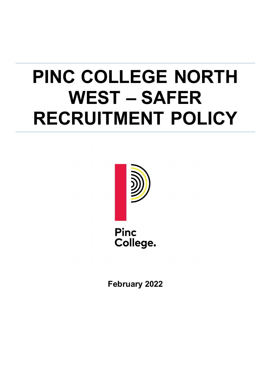# **PINC COLLEGE NORTH WEST – SAFER RECRUITMENT POLICY**



**Pinc** College.

**February 2022**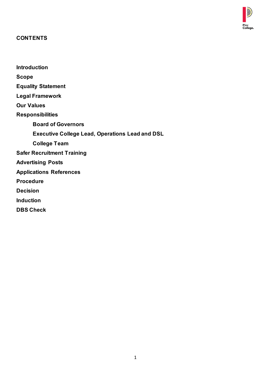

#### **CONTENTS**

**Introduction Scope Equality Statement Legal Framework Our Values Responsibilities Board of Governors Executive College Lead, Operations Lead and DSL College Team Safer Recruitment Training Advertising Posts Applications References Procedure Decision Induction DBS Check**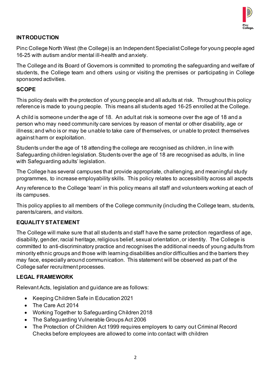

#### **INTRODUCTION**

Pinc College North West (the College) is an Independent Specialist College for young people aged 16-25 with autism and/or mental ill-health and anxiety.

The College and its Board of Governors is committed to promoting the safeguarding and welfare of students, the College team and others using or visiting the premises or participating in College sponsored activities.

#### **SCOPE**

This policy deals with the protection of young people and all adults at risk. Throughout this policy reference is made to young people. This means all students aged 16-25 enrolled at the College.

A child is someone under the age of 18. An adult at risk is someone over the age of 18 and a person who may need community care services by reason of mental or other disability, age or illness; and who is or may be unable to take care of themselves, or unable to protect themselves against harm or exploitation.

Students under the age of 18 attending the college are recognised as children, in line with Safeguarding children legislation. Students over the age of 18 are recognised as adults, in line with Safeguarding adults' legislation.

The College has several campuses that provide appropriate, challenging, and meaningful study programmes, to increase employability skills. This policy relates to accessibility across all aspects

Any reference to the College 'team' in this policy means all staff and volunteers working at each of its campuses.

This policy applies to all members of the College community (including the College team, students, parents/carers, and visitors.

#### **EQUALITY STATEMENT**

The College will make sure that all students and staff have the same protection regardless of age, disability, gender, racial heritage, religious belief, sexual orientation, or identity. The College is committed to anti-discriminatory practice and recognises the additional needs of young adults from minority ethnic groups and those with learning disabilities and/or difficulties and the barriers they may face, especially around communication. This statement will be observed as part of the College safer recruitment processes.

#### **LEGAL FRAMEWORK**

Relevant Acts, legislation and guidance are as follows:

- Keeping Children Safe in Education 2021
- The Care Act 2014
- Working Together to Safeguarding Children 2018
- The Safeguarding Vulnerable Groups Act 2006
- The Protection of Children Act 1999 requires employers to carry out Criminal Record Checks before employees are allowed to come into contact with children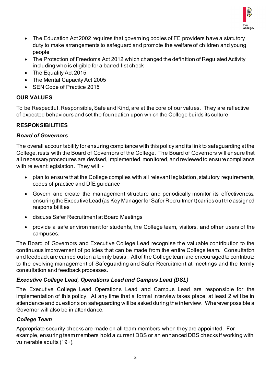

- The Education Act 2002 requires that governing bodies of FE providers have a statutory duty to make arrangements to safeguard and promote the welfare of children and young people
- The Protection of Freedoms Act 2012 which changed the definition of Regulated Activity including who is eligible for a barred list check
- The Equality Act 2015
- The Mental Capacity Act 2005
- SEN Code of Practice 2015

## **OUR VALUES**

To be Respectful, Responsible, Safe and Kind, are at the core of our values. They are reflective of expected behaviours and set the foundation upon which the College builds its culture

# **RESPONSIBILITIES**

## *Board of Governors*

The overall accountability for ensuring compliance with this policy and its link to safeguarding at the College, rests with the Board of Governors of the College. The Board of Governors will ensure that all necessary procedures are devised, implemented, monitored, and reviewed to ensure compliance with relevant legislation. They will: -

- plan to ensure that the College complies with all relevant legislation, statutory requirements, codes of practice and DfE guidance
- Govern and create the management structure and periodically monitor its effectiveness, ensuring the Executive Lead (as Key Manager for Safer Recruitment) carries out the assigned responsibilities
- discuss Safer Recruitment at Board Meetings
- provide a safe environment for students, the College team, visitors, and other users of the campuses.

The Board of Governors and Executive College Lead recognise the valuable contribution to the continuous improvement of policies that can be made from the entire College team. Consultation and feedback are carried out on a termly basis. All of the College team are encouraged to contribute to the evolving management of Safeguarding and Safer Recruitment at meetings and the termly consultation and feedback processes.

## *Executive College Lead, Operations Lead and Campus Lead (DSL)*

The Executive College Lead Operations Lead and Campus Lead are responsible for the implementation of this policy. At any time that a formal interview takes place, at least 2 will be in attendance and questions on safeguarding will be asked during the interview. Wherever possible a Governor will also be in attendance*.* 

## *College Team*

Appropriate security checks are made on all team members when they are appointed. For example, ensuring team members hold a current DBS or an enhanced DBS checks if working with vulnerable adults (19+).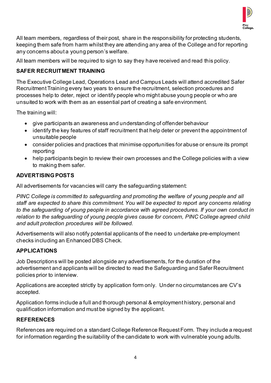

All team members, regardless of their post, share in the responsibility for protecting students, keeping them safe from harm whilst they are attending any area of the College and for reporting any concerns about a young person's welfare.

All team members will be required to sign to say they have received and read this policy.

# **SAFER RECRUITMENT TRAINING**

The Executive College Lead, Operations Lead and Campus Leads will attend accredited Safer Recruitment Training every two years to ensure the recruitment, selection procedures and processes help to deter, reject or identify people who might abuse young people or who are unsuited to work with them as an essential part of creating a safe environment.

The training will:

- give participants an awareness and understanding of offender behaviour
- identify the key features of staff recruitment that help deter or prevent the appointment of unsuitable people
- consider policies and practices that minimise opportunities for abuse or ensure its prompt reporting
- help participants begin to review their own processes and the College policies with a view to making them safer.

# **ADVERTISING POSTS**

All advertisements for vacancies will carry the safeguarding statement:

*PINC College is committed to safeguarding and promoting the welfare of young people and all staff are expected to share this commitment. You will be expected to report any concerns relating to the safeguarding of young people in accordance with agreed procedures. If your own conduct in relation to the safeguarding of young people gives cause for concern, PINC College agreed child and adult protection procedures will be followed.* 

Advertisements will also notify potential applicants of the need to undertake pre-employment checks including an Enhanced DBS Check.

# **APPLICATIONS**

Job Descriptions will be posted alongside any advertisements, for the duration of the advertisement and applicants will be directed to read the Safeguarding and Safer Recruitment policies prior to interview.

Applications are accepted strictly by application form only. Under no circumstances are CV's accepted.

Application forms include a full and thorough personal & employment history, personal and qualification information and must be signed by the applicant.

# **REFERENCES**

References are required on a standard College Reference Request Form. They include a request for information regarding the suitability of the candidate to work with vulnerable young adults.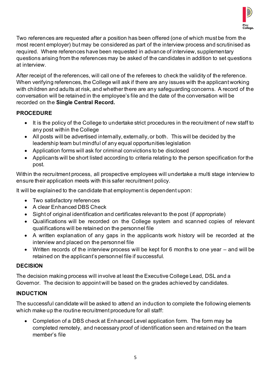

Two references are requested after a position has been offered (one of which must be from the most recent employer) but may be considered as part of the interview process and scrutinised as required. Where references have been requested in advance of interview, supplementary questions arising from the references may be asked of the candidates in addition to set questions at interview.

After receipt of the references, will call one of the referees to check the validity of the reference. When verifying references, the College will ask if there are any issues with the applicant working with children and adults at risk, and whether there are any safeguarding concerns. A record of the conversation will be retained in the employee's file and the date of the conversation will be recorded on the **Single Central Record.**

# **PROCEDURE**

- It is the policy of the College to undertake strict procedures in the recruitment of new staff to any post within the College
- All posts will be advertised internally, externally, or both. This will be decided by the leadership team but mindful of any equal opportunities legislation
- Application forms will ask for criminal convictions to be disclosed
- Applicants will be short listed according to criteria relating to the person specification for the post.

Within the recruitment process, all prospective employees will undertake a multi stage interview to ensure their application meets with this safer recruitment policy.

It will be explained to the candidate that employment is dependent upon:

- Two satisfactory references
- A clear Enhanced DBS Check
- Sight of original identification and certificates relevant to the post (if appropriate)
- Qualifications will be recorded on the College system and scanned copies of relevant qualifications will be retained on the personnel file
- A written explanation of any gaps in the applicants work history will be recorded at the interview and placed on the personnel file
- Written records of the interview process will be kept for 6 months to one year and will be retained on the applicant's personnel file if successful.

## **DECISION**

The decision making process will involve at least the Executive College Lead, DSL and a Governor. The decision to appoint will be based on the grades achieved by candidates.

## **INDUCTION**

The successful candidate will be asked to attend an induction to complete the following elements which make up the routine recruitment procedure for all staff:

• Completion of a DBS check at Enhanced Level application form. The form may be completed remotely, and necessary proof of identification seen and retained on the team member's file